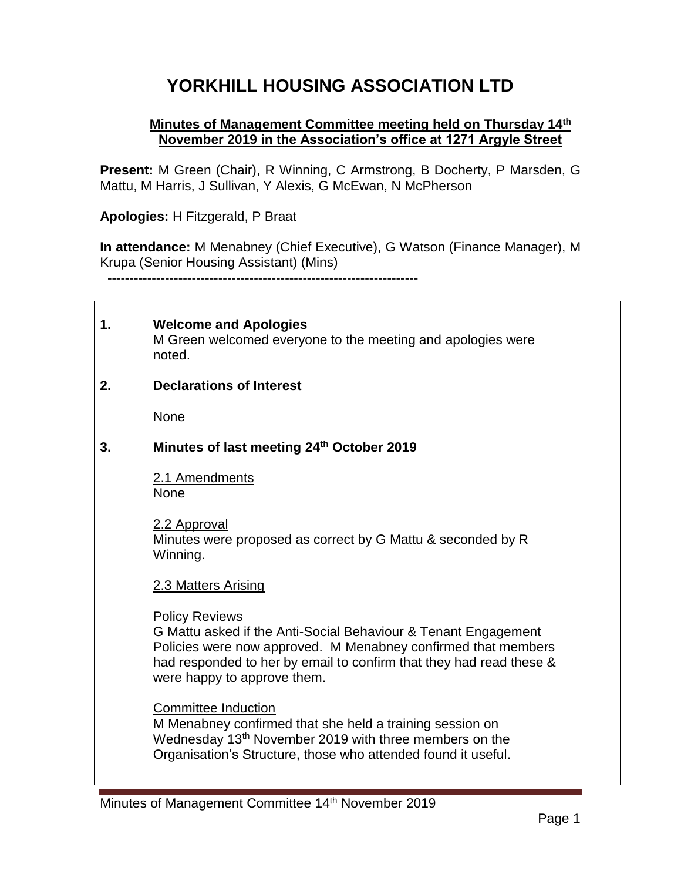## **YORKHILL HOUSING ASSOCIATION LTD**

## **Minutes of Management Committee meeting held on Thursday 14th November 2019 in the Association's office at 1271 Argyle Street**

**Present:** M Green (Chair), R Winning, C Armstrong, B Docherty, P Marsden, G Mattu, M Harris, J Sullivan, Y Alexis, G McEwan, N McPherson

**Apologies:** H Fitzgerald, P Braat

**In attendance:** M Menabney (Chief Executive), G Watson (Finance Manager), M Krupa (Senior Housing Assistant) (Mins)

----------------------------------------------------------------------

| $\mathbf 1$ . | <b>Welcome and Apologies</b><br>M Green welcomed everyone to the meeting and apologies were<br>noted.                                                                                                                                                          |  |
|---------------|----------------------------------------------------------------------------------------------------------------------------------------------------------------------------------------------------------------------------------------------------------------|--|
| 2.            | <b>Declarations of Interest</b>                                                                                                                                                                                                                                |  |
|               | <b>None</b>                                                                                                                                                                                                                                                    |  |
| 3.            | Minutes of last meeting 24th October 2019                                                                                                                                                                                                                      |  |
|               | 2.1 Amendments<br><b>None</b>                                                                                                                                                                                                                                  |  |
|               | 2.2 Approval<br>Minutes were proposed as correct by G Mattu & seconded by R<br>Winning.                                                                                                                                                                        |  |
|               | 2.3 Matters Arising                                                                                                                                                                                                                                            |  |
|               | <b>Policy Reviews</b><br>G Mattu asked if the Anti-Social Behaviour & Tenant Engagement<br>Policies were now approved. M Menabney confirmed that members<br>had responded to her by email to confirm that they had read these &<br>were happy to approve them. |  |
|               | <b>Committee Induction</b><br>M Menabney confirmed that she held a training session on<br>Wednesday 13 <sup>th</sup> November 2019 with three members on the<br>Organisation's Structure, those who attended found it useful.                                  |  |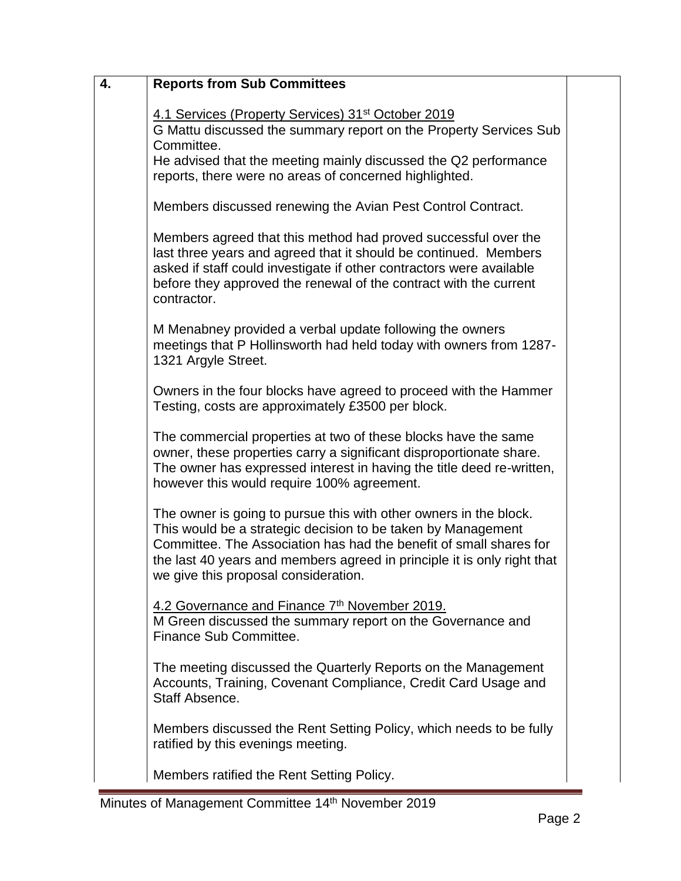| 4. | <b>Reports from Sub Committees</b>                                                                                                                                                                                                                                                                                         |  |
|----|----------------------------------------------------------------------------------------------------------------------------------------------------------------------------------------------------------------------------------------------------------------------------------------------------------------------------|--|
|    | 4.1 Services (Property Services) 31 <sup>st</sup> October 2019<br>G Mattu discussed the summary report on the Property Services Sub<br>Committee.<br>He advised that the meeting mainly discussed the Q2 performance<br>reports, there were no areas of concerned highlighted.                                             |  |
|    | Members discussed renewing the Avian Pest Control Contract.                                                                                                                                                                                                                                                                |  |
|    | Members agreed that this method had proved successful over the<br>last three years and agreed that it should be continued. Members<br>asked if staff could investigate if other contractors were available<br>before they approved the renewal of the contract with the current<br>contractor.                             |  |
|    | M Menabney provided a verbal update following the owners<br>meetings that P Hollinsworth had held today with owners from 1287-<br>1321 Argyle Street.                                                                                                                                                                      |  |
|    | Owners in the four blocks have agreed to proceed with the Hammer<br>Testing, costs are approximately £3500 per block.                                                                                                                                                                                                      |  |
|    | The commercial properties at two of these blocks have the same<br>owner, these properties carry a significant disproportionate share.<br>The owner has expressed interest in having the title deed re-written,<br>however this would require 100% agreement.                                                               |  |
|    | The owner is going to pursue this with other owners in the block.<br>This would be a strategic decision to be taken by Management<br>Committee. The Association has had the benefit of small shares for<br>the last 40 years and members agreed in principle it is only right that<br>we give this proposal consideration. |  |
|    | 4.2 Governance and Finance 7th November 2019.<br>M Green discussed the summary report on the Governance and<br>Finance Sub Committee.                                                                                                                                                                                      |  |
|    | The meeting discussed the Quarterly Reports on the Management<br>Accounts, Training, Covenant Compliance, Credit Card Usage and<br>Staff Absence.                                                                                                                                                                          |  |
|    | Members discussed the Rent Setting Policy, which needs to be fully<br>ratified by this evenings meeting.                                                                                                                                                                                                                   |  |
|    | Members ratified the Rent Setting Policy.                                                                                                                                                                                                                                                                                  |  |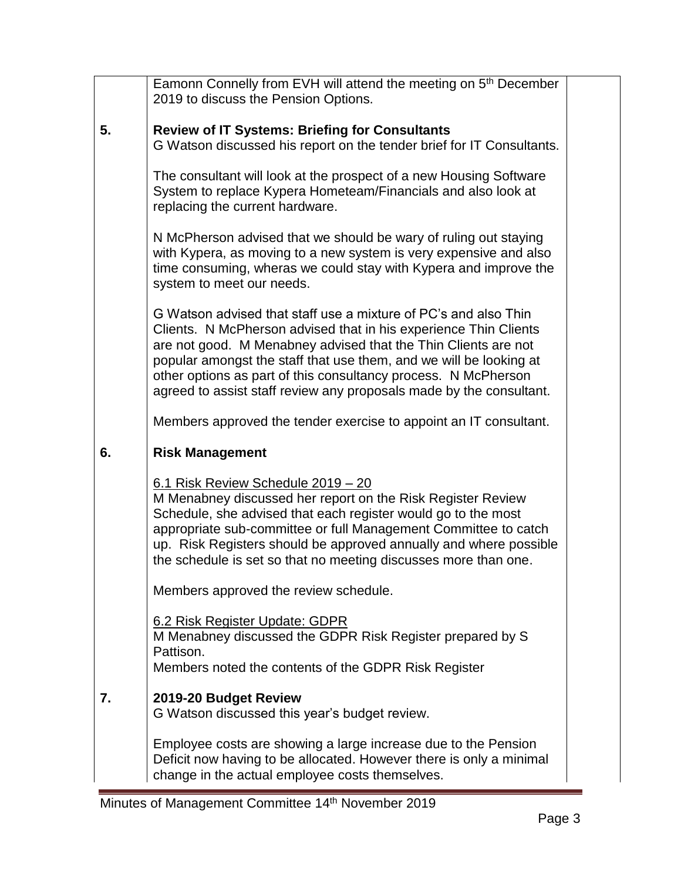|    | Eamonn Connelly from EVH will attend the meeting on 5 <sup>th</sup> December<br>2019 to discuss the Pension Options.                                                                                                                                                                                                                                                                                                 |  |
|----|----------------------------------------------------------------------------------------------------------------------------------------------------------------------------------------------------------------------------------------------------------------------------------------------------------------------------------------------------------------------------------------------------------------------|--|
| 5. | <b>Review of IT Systems: Briefing for Consultants</b><br>G Watson discussed his report on the tender brief for IT Consultants.                                                                                                                                                                                                                                                                                       |  |
|    | The consultant will look at the prospect of a new Housing Software<br>System to replace Kypera Hometeam/Financials and also look at<br>replacing the current hardware.                                                                                                                                                                                                                                               |  |
|    | N McPherson advised that we should be wary of ruling out staying<br>with Kypera, as moving to a new system is very expensive and also<br>time consuming, wheras we could stay with Kypera and improve the<br>system to meet our needs.                                                                                                                                                                               |  |
|    | G Watson advised that staff use a mixture of PC's and also Thin<br>Clients. N McPherson advised that in his experience Thin Clients<br>are not good. M Menabney advised that the Thin Clients are not<br>popular amongst the staff that use them, and we will be looking at<br>other options as part of this consultancy process. N McPherson<br>agreed to assist staff review any proposals made by the consultant. |  |
|    | Members approved the tender exercise to appoint an IT consultant.                                                                                                                                                                                                                                                                                                                                                    |  |
| 6. | <b>Risk Management</b>                                                                                                                                                                                                                                                                                                                                                                                               |  |
|    | 6.1 Risk Review Schedule 2019 - 20<br>M Menabney discussed her report on the Risk Register Review<br>Schedule, she advised that each register would go to the most<br>appropriate sub-committee or full Management Committee to catch<br>up. Risk Registers should be approved annually and where possible<br>the schedule is set so that no meeting discusses more than one.                                        |  |
|    | Members approved the review schedule.                                                                                                                                                                                                                                                                                                                                                                                |  |
|    |                                                                                                                                                                                                                                                                                                                                                                                                                      |  |
|    | 6.2 Risk Register Update: GDPR<br>M Menabney discussed the GDPR Risk Register prepared by S<br>Pattison.                                                                                                                                                                                                                                                                                                             |  |
|    | Members noted the contents of the GDPR Risk Register                                                                                                                                                                                                                                                                                                                                                                 |  |
| 7. | 2019-20 Budget Review<br>G Watson discussed this year's budget review.                                                                                                                                                                                                                                                                                                                                               |  |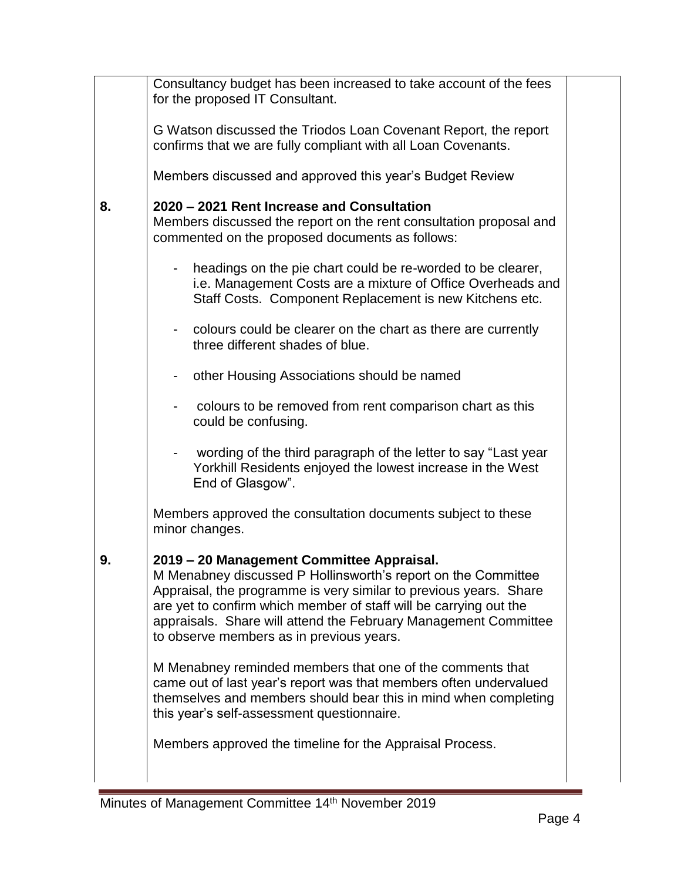|    | Consultancy budget has been increased to take account of the fees<br>for the proposed IT Consultant.                                                                                                                                                                                                                                                                |  |
|----|---------------------------------------------------------------------------------------------------------------------------------------------------------------------------------------------------------------------------------------------------------------------------------------------------------------------------------------------------------------------|--|
|    | G Watson discussed the Triodos Loan Covenant Report, the report<br>confirms that we are fully compliant with all Loan Covenants.                                                                                                                                                                                                                                    |  |
|    | Members discussed and approved this year's Budget Review                                                                                                                                                                                                                                                                                                            |  |
| 8. | 2020 – 2021 Rent Increase and Consultation<br>Members discussed the report on the rent consultation proposal and<br>commented on the proposed documents as follows:                                                                                                                                                                                                 |  |
|    | headings on the pie chart could be re-worded to be clearer,<br>$\blacksquare$<br>i.e. Management Costs are a mixture of Office Overheads and<br>Staff Costs. Component Replacement is new Kitchens etc.                                                                                                                                                             |  |
|    | colours could be clearer on the chart as there are currently<br>three different shades of blue.                                                                                                                                                                                                                                                                     |  |
|    | other Housing Associations should be named                                                                                                                                                                                                                                                                                                                          |  |
|    | colours to be removed from rent comparison chart as this<br>could be confusing.                                                                                                                                                                                                                                                                                     |  |
|    | wording of the third paragraph of the letter to say "Last year<br>Yorkhill Residents enjoyed the lowest increase in the West<br>End of Glasgow".                                                                                                                                                                                                                    |  |
|    | Members approved the consultation documents subject to these<br>minor changes.                                                                                                                                                                                                                                                                                      |  |
| 9. | 2019 – 20 Management Committee Appraisal.<br>M Menabney discussed P Hollinsworth's report on the Committee<br>Appraisal, the programme is very similar to previous years. Share<br>are yet to confirm which member of staff will be carrying out the<br>appraisals. Share will attend the February Management Committee<br>to observe members as in previous years. |  |
|    | M Menabney reminded members that one of the comments that<br>came out of last year's report was that members often undervalued<br>themselves and members should bear this in mind when completing<br>this year's self-assessment questionnaire.                                                                                                                     |  |
|    | Members approved the timeline for the Appraisal Process.                                                                                                                                                                                                                                                                                                            |  |
|    |                                                                                                                                                                                                                                                                                                                                                                     |  |

÷.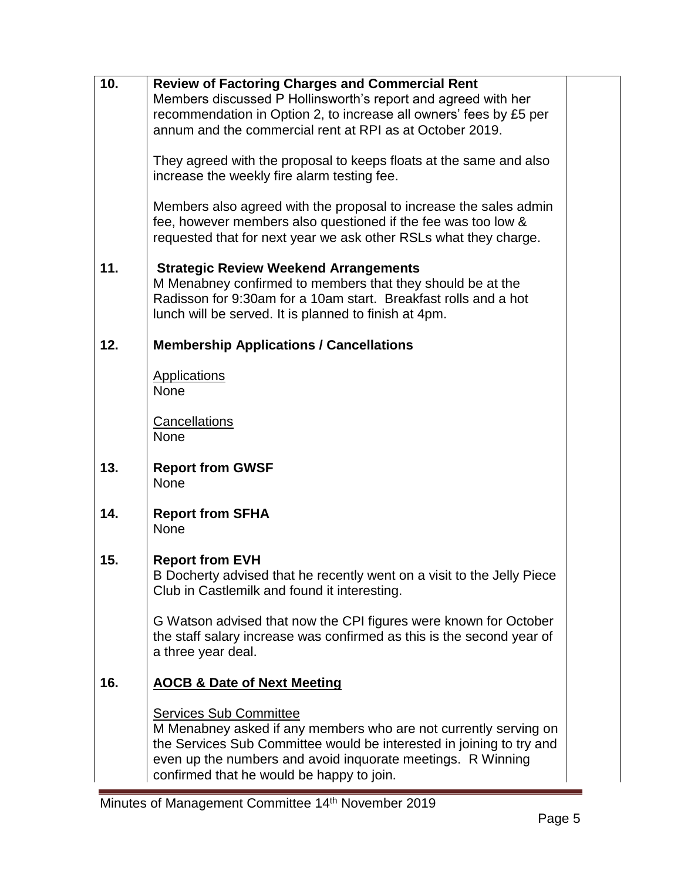| 10. | <b>Review of Factoring Charges and Commercial Rent</b>                 |  |
|-----|------------------------------------------------------------------------|--|
|     | Members discussed P Hollinsworth's report and agreed with her          |  |
|     | recommendation in Option 2, to increase all owners' fees by £5 per     |  |
|     | annum and the commercial rent at RPI as at October 2019.               |  |
|     |                                                                        |  |
|     | They agreed with the proposal to keeps floats at the same and also     |  |
|     | increase the weekly fire alarm testing fee.                            |  |
|     |                                                                        |  |
|     | Members also agreed with the proposal to increase the sales admin      |  |
|     | fee, however members also questioned if the fee was too low &          |  |
|     | requested that for next year we ask other RSLs what they charge.       |  |
|     |                                                                        |  |
| 11. | <b>Strategic Review Weekend Arrangements</b>                           |  |
|     | M Menabney confirmed to members that they should be at the             |  |
|     | Radisson for 9:30am for a 10am start. Breakfast rolls and a hot        |  |
|     | lunch will be served. It is planned to finish at 4pm.                  |  |
|     |                                                                        |  |
| 12. | <b>Membership Applications / Cancellations</b>                         |  |
|     |                                                                        |  |
|     | <b>Applications</b>                                                    |  |
|     | <b>None</b>                                                            |  |
|     | Cancellations                                                          |  |
|     | <b>None</b>                                                            |  |
|     |                                                                        |  |
| 13. | <b>Report from GWSF</b>                                                |  |
|     | <b>None</b>                                                            |  |
|     |                                                                        |  |
| 14. | <b>Report from SFHA</b>                                                |  |
|     | None                                                                   |  |
|     |                                                                        |  |
| 15. | <b>Report from EVH</b>                                                 |  |
|     | B Docherty advised that he recently went on a visit to the Jelly Piece |  |
|     | Club in Castlemilk and found it interesting.                           |  |
|     |                                                                        |  |
|     | G Watson advised that now the CPI figures were known for October       |  |
|     | the staff salary increase was confirmed as this is the second year of  |  |
|     | a three year deal.                                                     |  |
| 16. |                                                                        |  |
|     | <b>AOCB &amp; Date of Next Meeting</b>                                 |  |
|     | <b>Services Sub Committee</b>                                          |  |
|     | M Menabney asked if any members who are not currently serving on       |  |
|     | the Services Sub Committee would be interested in joining to try and   |  |
|     | even up the numbers and avoid inquorate meetings. R Winning            |  |
|     | confirmed that he would be happy to join.                              |  |
|     |                                                                        |  |